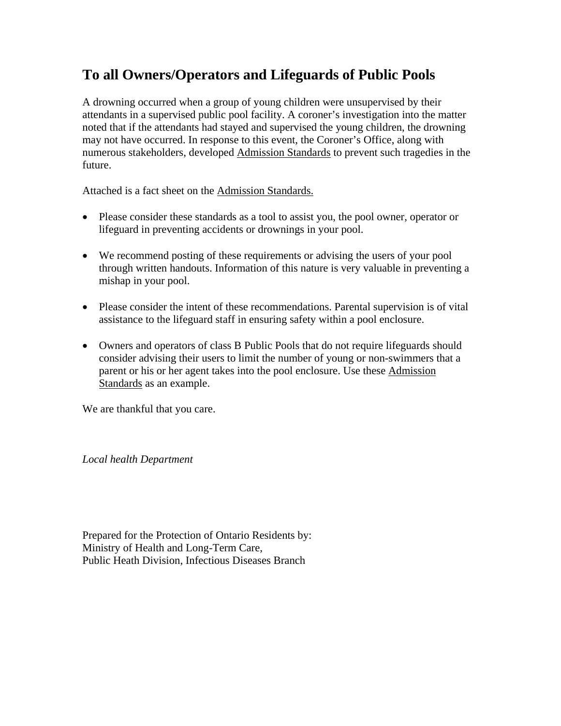## **To all Owners/Operators and Lifeguards of Public Pools**

A drowning occurred when a group of young children were unsupervised by their attendants in a supervised public pool facility. A coroner's investigation into the matter noted that if the attendants had stayed and supervised the young children, the drowning may not have occurred. In response to this event, the Coroner's Office, along with numerous stakeholders, developed Admission Standards to prevent such tragedies in the future.

Attached is a fact sheet on the Admission Standards.

- Please consider these standards as a tool to assist you, the pool owner, operator or lifeguard in preventing accidents or drownings in your pool.
- We recommend posting of these requirements or advising the users of your pool through written handouts. Information of this nature is very valuable in preventing a mishap in your pool.
- Please consider the intent of these recommendations. Parental supervision is of vital assistance to the lifeguard staff in ensuring safety within a pool enclosure.
- Owners and operators of class B Public Pools that do not require lifeguards should consider advising their users to limit the number of young or non-swimmers that a parent or his or her agent takes into the pool enclosure. Use these Admission Standards as an example.

We are thankful that you care.

*Local health Department* 

Prepared for the Protection of Ontario Residents by: Ministry of Health and Long-Term Care, Public Heath Division, Infectious Diseases Branch